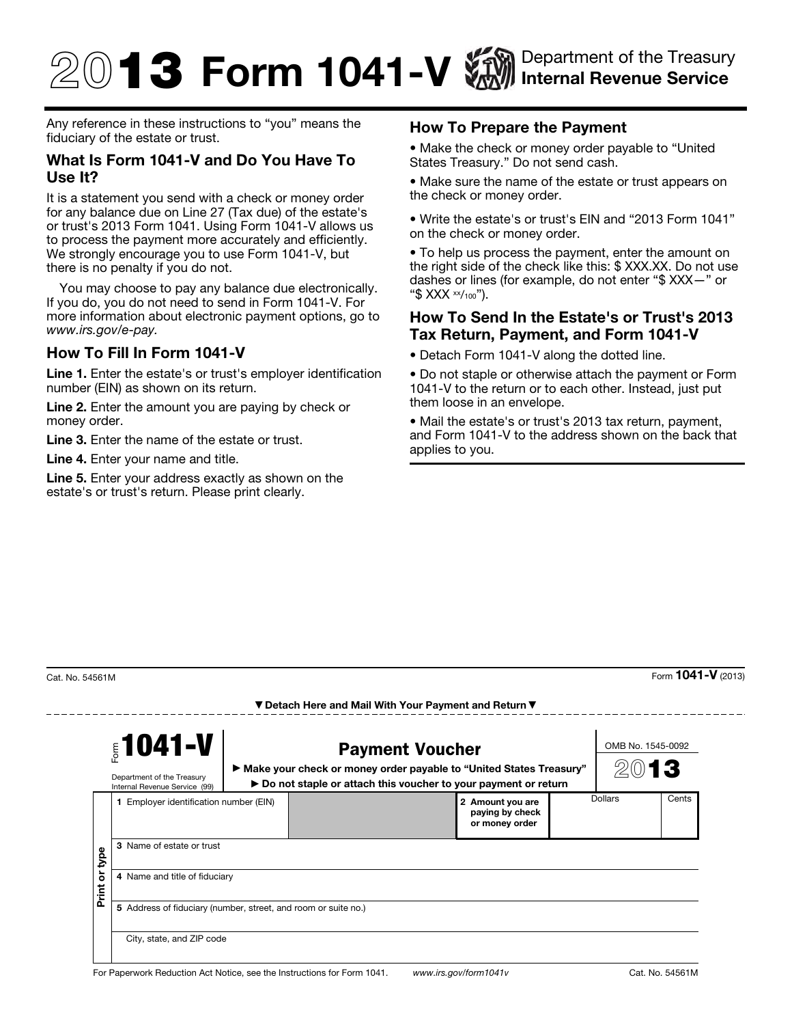# $\textcircled{1}$  3 Form 1041-V  $\textcircled{2}$  Department of the Treasury Internal Revenue Service

Any reference in these instructions to "you" means the fiduciary of the estate or trust.

#### What Is Form 1041-V and Do You Have To Use It?

It is a statement you send with a check or money order for any balance due on Line 27 (Tax due) of the estate's or trust's 2013 Form 1041. Using Form 1041-V allows us to process the payment more accurately and efficiently. We strongly encourage you to use Form 1041-V, but there is no penalty if you do not.

You may choose to pay any balance due electronically. If you do, you do not need to send in Form 1041-V. For more information about electronic payment options, go to *www.irs.gov/e-pay.*

## How To Fill In Form 1041-V

Line 1. Enter the estate's or trust's employer identification number (EIN) as shown on its return.

Line 2. Enter the amount you are paying by check or money order.

Line 3. Enter the name of the estate or trust.

Line 4. Enter your name and title.

Line 5. Enter your address exactly as shown on the estate's or trust's return. Please print clearly.

### How To Prepare the Payment

• Make the check or money order payable to "United States Treasury." Do not send cash.

• Make sure the name of the estate or trust appears on the check or money order.

• Write the estate's or trust's EIN and "2013 Form 1041" on the check or money order.

• To help us process the payment, enter the amount on the right side of the check like this: \$ XXX.XX. Do not use dashes or lines (for example, do not enter "\$ XXX—" or "\$  $XXX \times 100$ ").

### How To Send In the Estate's or Trust's 2013 Tax Return, Payment, and Form 1041-V

• Detach Form 1041-V along the dotted line.

• Do not staple or otherwise attach the payment or Form 1041-V to the return or to each other. Instead, just put them loose in an envelope.

• Mail the estate's or trust's 2013 tax return, payment, and Form 1041-V to the address shown on the back that applies to you.

-------

 $\frac{1}{2}$ Cat. No. 54561M Form **1041-V** (2013)

|                 | $$1041-V$<br>Department of the Treasury<br>Internal Revenue Service (99)                    | <b>Payment Voucher</b><br>▶ Make your check or money order payable to "United States Treasury"<br>▶ Do not staple or attach this voucher to your payment or return |  |                                                       |  | OMB No. 1545-0092<br>13 |       |
|-----------------|---------------------------------------------------------------------------------------------|--------------------------------------------------------------------------------------------------------------------------------------------------------------------|--|-------------------------------------------------------|--|-------------------------|-------|
| bde<br>Print or | 1 Employer identification number (EIN)                                                      |                                                                                                                                                                    |  | 2 Amount you are<br>paying by check<br>or money order |  | Dollars                 | Cents |
|                 | 3 Name of estate or trust<br>4 Name and title of fiduciary                                  |                                                                                                                                                                    |  |                                                       |  |                         |       |
|                 | 5 Address of fiduciary (number, street, and room or suite no.)<br>City, state, and ZIP code |                                                                                                                                                                    |  |                                                       |  |                         |       |

▼ Detach Here and Mail With Your Payment and Return ▼